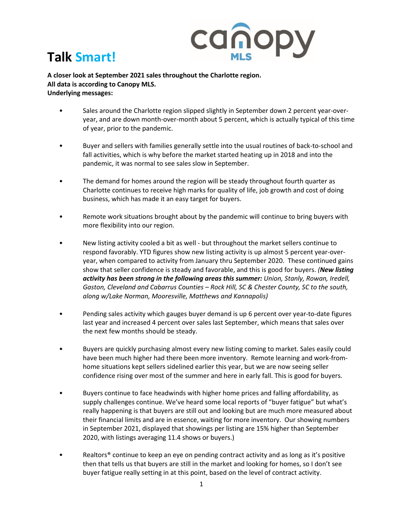

## **Talk Smart!**

**A closer look at September 2021 sales throughout the Charlotte region. All data is according to Canopy MLS. Underlying messages:** 

- Sales around the Charlotte region slipped slightly in September down 2 percent year-overyear, and are down month-over-month about 5 percent, which is actually typical of this time of year, prior to the pandemic.
- Buyer and sellers with families generally settle into the usual routines of back-to-school and fall activities, which is why before the market started heating up in 2018 and into the pandemic, it was normal to see sales slow in September.
- The demand for homes around the region will be steady throughout fourth quarter as Charlotte continues to receive high marks for quality of life, job growth and cost of doing business, which has made it an easy target for buyers.
- Remote work situations brought about by the pandemic will continue to bring buyers with more flexibility into our region.
- New listing activity cooled a bit as well but throughout the market sellers continue to respond favorably. YTD figures show new listing activity is up almost 5 percent year-overyear, when compared to activity from January thru September 2020. These continued gains show that seller confidence is steady and favorable, and this is good for buyers. *(New listing activity has been strong in the following areas this summer: Union, Stanly, Rowan, Iredell, Gaston, Cleveland and Cabarrus Counties – Rock Hill, SC & Chester County, SC to the south, along w/Lake Norman, Mooresville, Matthews and Kannapolis)*
- Pending sales activity which gauges buyer demand is up 6 percent over year-to-date figures last year and increased 4 percent over sales last September, which means that sales over the next few months should be steady.
- Buyers are quickly purchasing almost every new listing coming to market. Sales easily could have been much higher had there been more inventory. Remote learning and work-fromhome situations kept sellers sidelined earlier this year, but we are now seeing seller confidence rising over most of the summer and here in early fall. This is good for buyers.
- Buyers continue to face headwinds with higher home prices and falling affordability, as supply challenges continue. We've heard some local reports of "buyer fatigue" but what's really happening is that buyers are still out and looking but are much more measured about their financial limits and are in essence, waiting for more inventory. Our showing numbers in September 2021, displayed that showings per listing are 15% higher than September 2020, with listings averaging 11.4 shows or buyers.)
- Realtors<sup>®</sup> continue to keep an eye on pending contract activity and as long as it's positive then that tells us that buyers are still in the market and looking for homes, so I don't see buyer fatigue really setting in at this point, based on the level of contract activity.